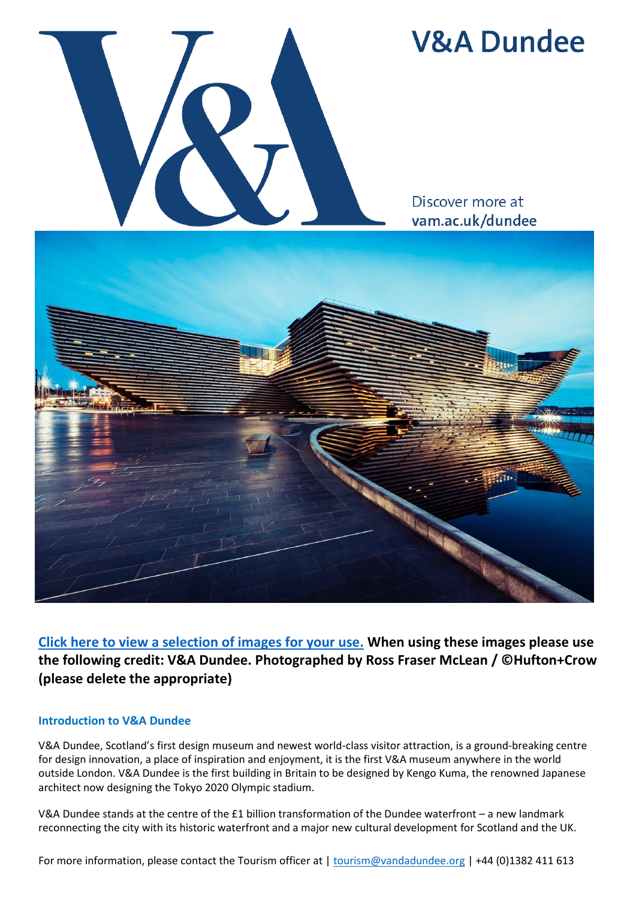

# **V&A Dundee**

Discover more at vam.ac.uk/dundee



**[Click here to view a selection of images for your use.](https://media.vandadundee.org/asset-bank/images/assetbox/57deafef-abf9-40e9-9b5d-1ce18501915d/assetbox.html) When using these images please use the following credit: V&A Dundee. Photographed by Ross Fraser McLean / ©Hufton+Crow (please delete the appropriate)**

## **Introduction to V&A Dundee**

V&A Dundee, Scotland's first design museum and newest world-class visitor attraction, is a ground-breaking centre for design innovation, a place of inspiration and enjoyment, it is the first V&A museum anywhere in the world outside London. V&A Dundee is the first building in Britain to be designed by Kengo Kuma, the renowned Japanese architect now designing the Tokyo 2020 Olympic stadium.

V&A Dundee stands at the centre of the £1 billion transformation of the Dundee waterfront – a new landmark reconnecting the city with its historic waterfront and a major new cultural development for Scotland and the UK.

For more information, please contact the Tourism officer at | [tourism@vandadundee.org](mailto:tourism@vandadundee.org) | +44 (0)1382 411 613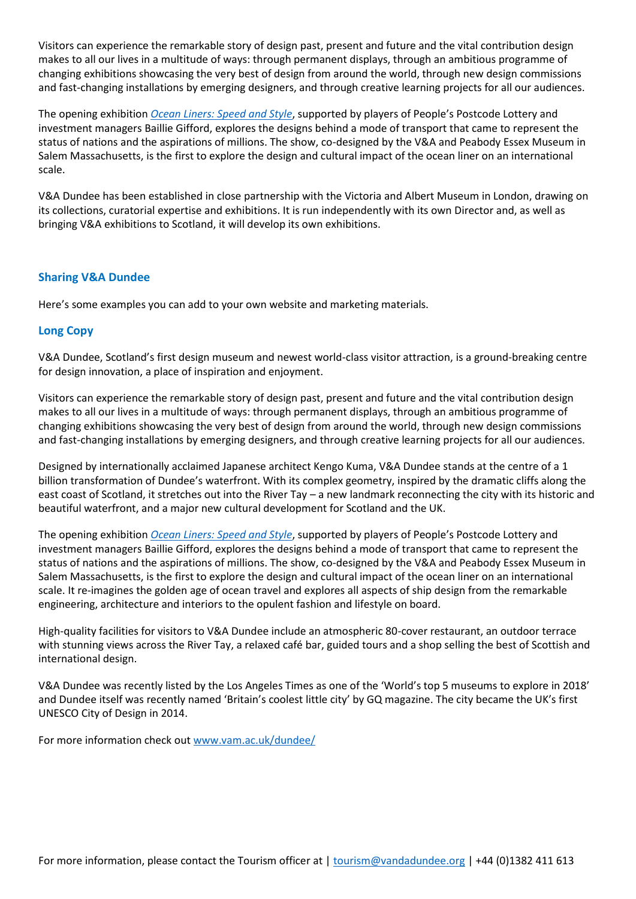Visitors can experience the remarkable story of design past, present and future and the vital contribution design makes to all our lives in a multitude of ways: through permanent displays, through an ambitious programme of changing exhibitions showcasing the very best of design from around the world, through new design commissions and fast-changing installations by emerging designers, and through creative learning projects for all our audiences.

The opening exhibition *[Ocean Liners: Speed and Style](https://www.vam.ac.uk/dundee/exhibitions/ocean-liners)*, supported by players of People's Postcode Lottery and investment managers Baillie Gifford, explores the designs behind a mode of transport that came to represent the status of nations and the aspirations of millions. The show, co-designed by the V&A and Peabody Essex Museum in Salem Massachusetts, is the first to explore the design and cultural impact of the ocean liner on an international scale.

V&A Dundee has been established in close partnership with the Victoria and Albert Museum in London, drawing on its collections, curatorial expertise and exhibitions. It is run independently with its own Director and, as well as bringing V&A exhibitions to Scotland, it will develop its own exhibitions.

## **Sharing V&A Dundee**

Here's some examples you can add to your own website and marketing materials.

# **Long Copy**

V&A Dundee, Scotland's first design museum and newest world-class visitor attraction, is a ground-breaking centre for design innovation, a place of inspiration and enjoyment.

Visitors can experience the remarkable story of design past, present and future and the vital contribution design makes to all our lives in a multitude of ways: through permanent displays, through an ambitious programme of changing exhibitions showcasing the very best of design from around the world, through new design commissions and fast-changing installations by emerging designers, and through creative learning projects for all our audiences.

Designed by internationally acclaimed Japanese architect Kengo Kuma, V&A Dundee stands at the centre of a 1 billion transformation of Dundee's waterfront. With its complex geometry, inspired by the dramatic cliffs along the east coast of Scotland, it stretches out into the River Tay – a new landmark reconnecting the city with its historic and beautiful waterfront, and a major new cultural development for Scotland and the UK.

The opening exhibition *[Ocean Liners: Speed and Style](https://www.vam.ac.uk/dundee/exhibitions/ocean-liners)*, supported by players of People's Postcode Lottery and investment managers Baillie Gifford, explores the designs behind a mode of transport that came to represent the status of nations and the aspirations of millions. The show, co-designed by the V&A and Peabody Essex Museum in Salem Massachusetts, is the first to explore the design and cultural impact of the ocean liner on an international scale. It re-imagines the golden age of ocean travel and explores all aspects of ship design from the remarkable engineering, architecture and interiors to the opulent fashion and lifestyle on board.

High-quality facilities for visitors to V&A Dundee include an atmospheric 80-cover restaurant, an outdoor terrace with stunning views across the River Tay, a relaxed café bar, guided tours and a shop selling the best of Scottish and international design.

V&A Dundee was recently listed by the Los Angeles Times as one of the 'World's top 5 museums to explore in 2018' and Dundee itself was recently named 'Britain's coolest little city' by GQ magazine. The city became the UK's first UNESCO City of Design in 2014.

For more information check out [www.vam.ac.uk/dundee/](http://www.vam.ac.uk/dundee/)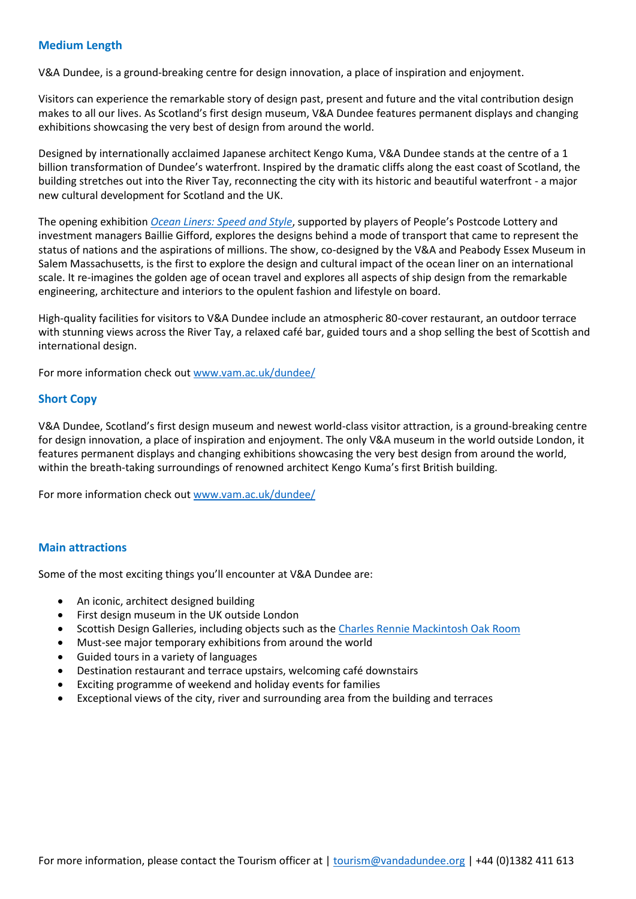## **Medium Length**

V&A Dundee, is a ground-breaking centre for design innovation, a place of inspiration and enjoyment.

Visitors can experience the remarkable story of design past, present and future and the vital contribution design makes to all our lives. As Scotland's first design museum, V&A Dundee features permanent displays and changing exhibitions showcasing the very best of design from around the world.

Designed by internationally acclaimed Japanese architect Kengo Kuma, V&A Dundee stands at the centre of a 1 billion transformation of Dundee's waterfront. Inspired by the dramatic cliffs along the east coast of Scotland, the building stretches out into the River Tay, reconnecting the city with its historic and beautiful waterfront - a major new cultural development for Scotland and the UK.

The opening exhibition *[Ocean Liners: Speed and Style](https://www.vam.ac.uk/dundee/exhibitions/ocean-liners)*, supported by players of People's Postcode Lottery and investment managers Baillie Gifford, explores the designs behind a mode of transport that came to represent the status of nations and the aspirations of millions. The show, co-designed by the V&A and Peabody Essex Museum in Salem Massachusetts, is the first to explore the design and cultural impact of the ocean liner on an international scale. It re-imagines the golden age of ocean travel and explores all aspects of ship design from the remarkable engineering, architecture and interiors to the opulent fashion and lifestyle on board.

High-quality facilities for visitors to V&A Dundee include an atmospheric 80-cover restaurant, an outdoor terrace with stunning views across the River Tay, a relaxed café bar, guided tours and a shop selling the best of Scottish and international design.

For more information check out [www.vam.ac.uk/dundee/](http://www.vam.ac.uk/dundee/)

## **Short Copy**

V&A Dundee, Scotland's first design museum and newest world-class visitor attraction, is a ground-breaking centre for design innovation, a place of inspiration and enjoyment. The only V&A museum in the world outside London, it features permanent displays and changing exhibitions showcasing the very best design from around the world, within the breath-taking surroundings of renowned architect Kengo Kuma's first British building.

For more information check out [www.vam.ac.uk/dundee/](http://www.vam.ac.uk/dundee/)

## **Main attractions**

Some of the most exciting things you'll encounter at V&A Dundee are:

- An iconic, architect designed building
- First design museum in the UK outside London
- Scottish Design Galleries, including objects such as the [Charles Rennie Mackintosh Oak Room](https://www.vam.ac.uk/dundee/info/long-lost-mackintosh-tearoom-to-be-conserved-for-public-display)
- Must-see major temporary exhibitions from around the world
- Guided tours in a variety of languages
- Destination restaurant and terrace upstairs, welcoming café downstairs
- Exciting programme of weekend and holiday events for families
- Exceptional views of the city, river and surrounding area from the building and terraces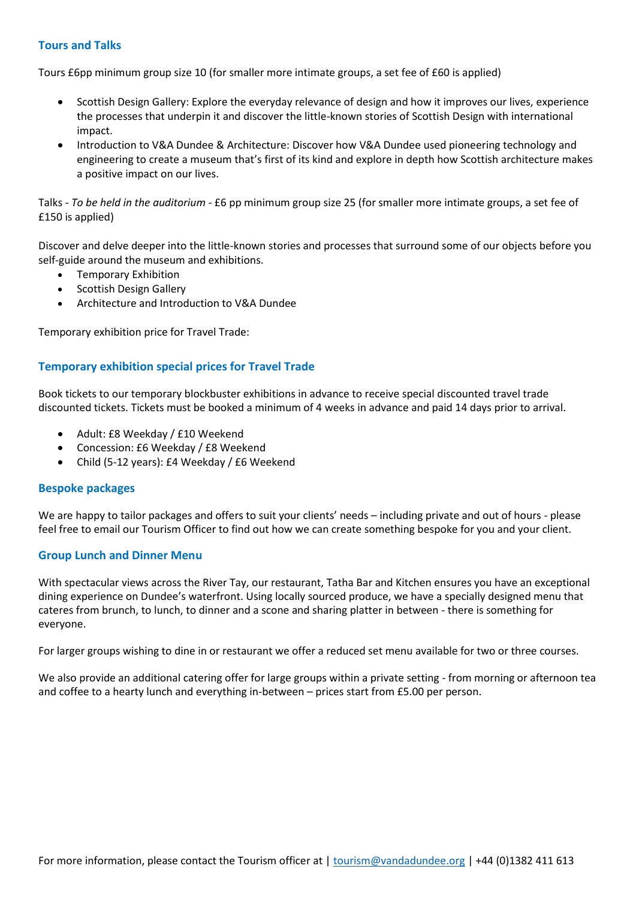## **Tours and Talks**

Tours £6pp minimum group size 10 (for smaller more intimate groups, a set fee of £60 is applied)

- Scottish Design Gallery: Explore the everyday relevance of design and how it improves our lives, experience the processes that underpin it and discover the little-known stories of Scottish Design with international impact.
- Introduction to V&A Dundee & Architecture: Discover how V&A Dundee used pioneering technology and engineering to create a museum that's first of its kind and explore in depth how Scottish architecture makes a positive impact on our lives.

Talks - *To be held in the auditorium -* £6 pp minimum group size 25 (for smaller more intimate groups, a set fee of £150 is applied)

Discover and delve deeper into the little-known stories and processes that surround some of our objects before you self-guide around the museum and exhibitions.

- Temporary Exhibition
- Scottish Design Gallery
- Architecture and Introduction to V&A Dundee

Temporary exhibition price for Travel Trade:

## **Temporary exhibition special prices for Travel Trade**

Book tickets to our temporary blockbuster exhibitions in advance to receive special discounted travel trade discounted tickets. Tickets must be booked a minimum of 4 weeks in advance and paid 14 days prior to arrival.

- Adult: £8 Weekday / £10 Weekend
- Concession: £6 Weekday / £8 Weekend
- Child (5-12 years): £4 Weekday / £6 Weekend

## **Bespoke packages**

We are happy to tailor packages and offers to suit your clients' needs – including private and out of hours - please feel free to email our Tourism Officer to find out how we can create something bespoke for you and your client.

## **Group Lunch and Dinner Menu**

With spectacular views across the River Tay, our restaurant, Tatha Bar and Kitchen ensures you have an exceptional dining experience on Dundee's waterfront. Using locally sourced produce, we have a specially designed menu that cateres from brunch, to lunch, to dinner and a scone and sharing platter in between - there is something for everyone.

For larger groups wishing to dine in or restaurant we offer a reduced set menu available for two or three courses.

We also provide an additional catering offer for large groups within a private setting - from morning or afternoon tea and coffee to a hearty lunch and everything in-between – prices start from £5.00 per person.